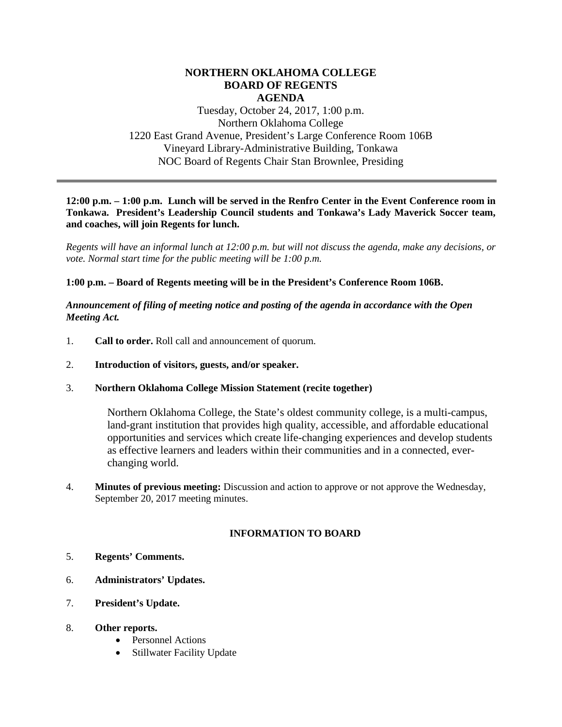## **NORTHERN OKLAHOMA COLLEGE BOARD OF REGENTS AGENDA**

Tuesday, October 24, 2017, 1:00 p.m. Northern Oklahoma College 1220 East Grand Avenue, President's Large Conference Room 106B Vineyard Library-Administrative Building, Tonkawa NOC Board of Regents Chair Stan Brownlee, Presiding

#### **12:00 p.m. – 1:00 p.m. Lunch will be served in the Renfro Center in the Event Conference room in Tonkawa. President's Leadership Council students and Tonkawa's Lady Maverick Soccer team, and coaches, will join Regents for lunch.**

*Regents will have an informal lunch at 12:00 p.m. but will not discuss the agenda, make any decisions, or vote. Normal start time for the public meeting will be 1:00 p.m.*

## **1:00 p.m. – Board of Regents meeting will be in the President's Conference Room 106B.**

*Announcement of filing of meeting notice and posting of the agenda in accordance with the Open Meeting Act.*

- 1. **Call to order.** Roll call and announcement of quorum.
- 2. **Introduction of visitors, guests, and/or speaker.**
- 3. **Northern Oklahoma College Mission Statement (recite together)**

Northern Oklahoma College, the State's oldest community college, is a multi-campus, land-grant institution that provides high quality, accessible, and affordable educational opportunities and services which create life-changing experiences and develop students as effective learners and leaders within their communities and in a connected, everchanging world.

4. **Minutes of previous meeting:** Discussion and action to approve or not approve the Wednesday, September 20, 2017 meeting minutes.

# **INFORMATION TO BOARD**

- 5. **Regents' Comments.**
- 6. **Administrators' Updates.**
- 7. **President's Update.**
- 8. **Other reports.**
	- Personnel Actions
	- Stillwater Facility Update